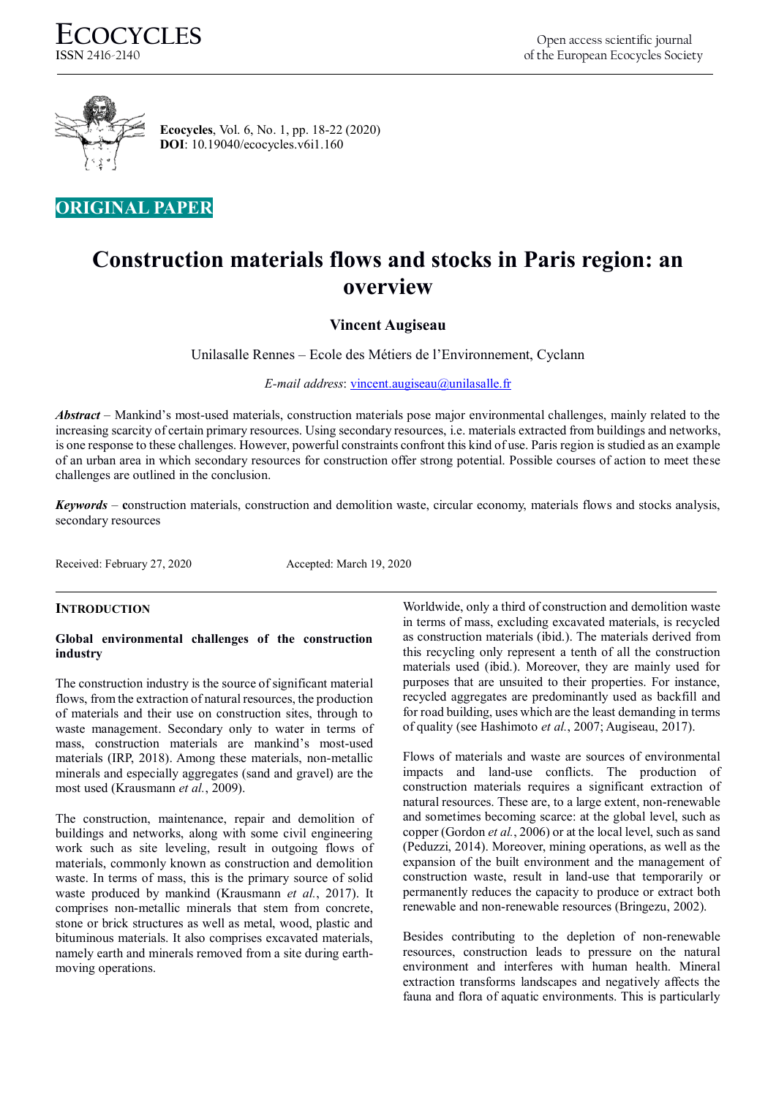

 **Ecocycles**, Vol. 6, No. 1, pp. 18-22 (2020)  **DOI**: 10.19040/ecocycles.v6i1.160

## **ORIGINAL PAPER**

# **Construction materials flows and stocks in Paris region: an overview**

## **Vincent Augiseau**

Unilasalle Rennes – Ecole des Métiers de l'Environnement, Cyclann

*E-mail address*[: vincent.augiseau@unilasalle.fr](mailto:vincent.augiseau@unilasalle.fr)

*Abstract* – Mankind's most-used materials, construction materials pose major environmental challenges, mainly related to the increasing scarcity of certain primary resources. Using secondary resources, i.e. materials extracted from buildings and networks, is one response to these challenges. However, powerful constraints confront this kind of use. Paris region is studied as an example of an urban area in which secondary resources for construction offer strong potential. Possible courses of action to meet these challenges are outlined in the conclusion.

*Keywords* – **c**onstruction materials, construction and demolition waste, circular economy, materials flows and stocks analysis, secondary resources

Received: February 27, 2020 Accepted: March 19, 2020

## **INTRODUCTION**

## **Global environmental challenges of the construction industry**

The construction industry is the source of significant material flows, from the extraction of natural resources, the production of materials and their use on construction sites, through to waste management. Secondary only to water in terms of mass, construction materials are mankind's most-used materials (IRP, 2018). Among these materials, non-metallic minerals and especially aggregates (sand and gravel) are the most used (Krausmann *et al.*, 2009).

The construction, maintenance, repair and demolition of buildings and networks, along with some civil engineering work such as site leveling, result in outgoing flows of materials, commonly known as construction and demolition waste. In terms of mass, this is the primary source of solid waste produced by mankind (Krausmann *et al.*, 2017). It comprises non-metallic minerals that stem from concrete, stone or brick structures as well as metal, wood, plastic and bituminous materials. It also comprises excavated materials, namely earth and minerals removed from a site during earthmoving operations.

Worldwide, only a third of construction and demolition waste in terms of mass, excluding excavated materials, is recycled as construction materials (ibid.). The materials derived from this recycling only represent a tenth of all the construction materials used (ibid.). Moreover, they are mainly used for purposes that are unsuited to their properties. For instance, recycled aggregates are predominantly used as backfill and for road building, uses which are the least demanding in terms of quality (see Hashimoto *et al.*, 2007; Augiseau, 2017).

Flows of materials and waste are sources of environmental impacts and land-use conflicts. The production of construction materials requires a significant extraction of natural resources. These are, to a large extent, non-renewable and sometimes becoming scarce: at the global level, such as copper (Gordon *et al.*, 2006) or at the local level, such as sand (Peduzzi, 2014). Moreover, mining operations, as well as the expansion of the built environment and the management of construction waste, result in land-use that temporarily or permanently reduces the capacity to produce or extract both renewable and non-renewable resources (Bringezu, 2002).

Besides contributing to the depletion of non-renewable resources, construction leads to pressure on the natural environment and interferes with human health. Mineral extraction transforms landscapes and negatively affects the fauna and flora of aquatic environments. This is particularly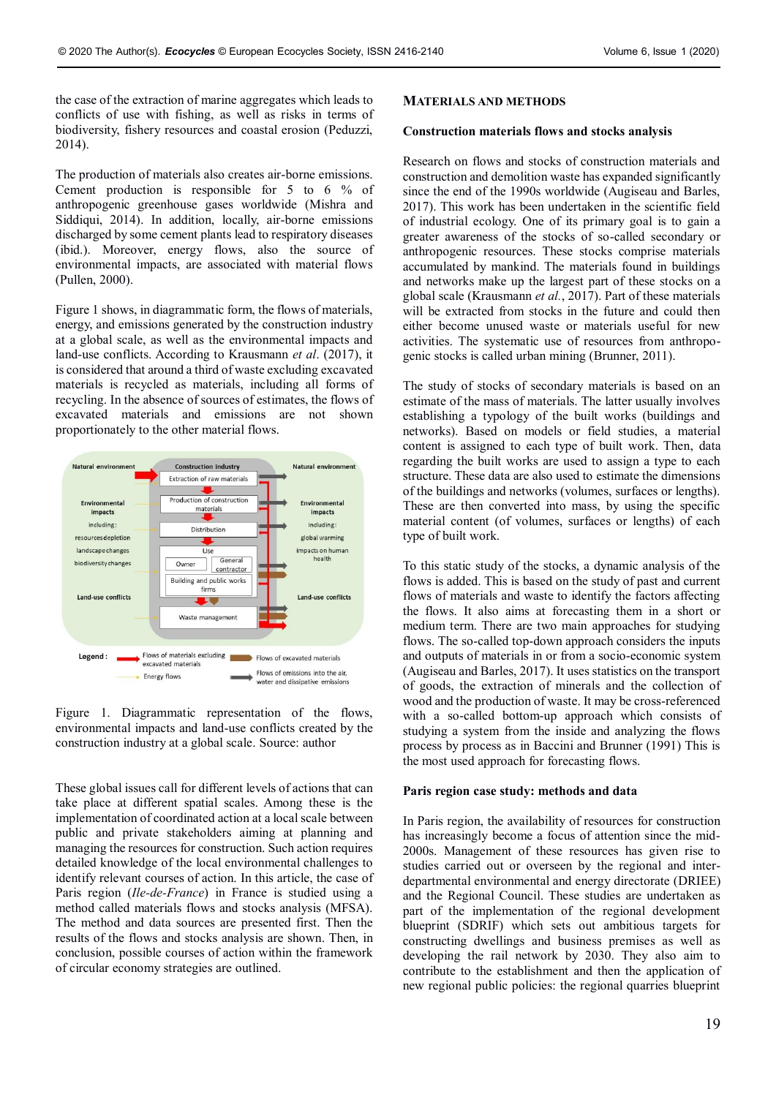the case of the extraction of marine aggregates which leads to conflicts of use with fishing, as well as risks in terms of biodiversity, fishery resources and coastal erosion (Peduzzi, 2014).

The production of materials also creates air-borne emissions. Cement production is responsible for 5 to 6 % of anthropogenic greenhouse gases worldwide (Mishra and Siddiqui, 2014). In addition, locally, air-borne emissions discharged by some cement plants lead to respiratory diseases (ibid.). Moreover, energy flows, also the source of environmental impacts, are associated with material flows (Pullen, 2000).

Figure 1 shows, in diagrammatic form, the flows of materials, energy, and emissions generated by the construction industry at a global scale, as well as the environmental impacts and land-use conflicts. According to Krausmann *et al*. (2017), it is considered that around a third of waste excluding excavated materials is recycled as materials, including all forms of recycling. In the absence of sources of estimates, the flows of excavated materials and emissions are not shown proportionately to the other material flows.



Figure 1. Diagrammatic representation of the flows, environmental impacts and land-use conflicts created by the construction industry at a global scale. Source: author

These global issues call for different levels of actions that can take place at different spatial scales. Among these is the implementation of coordinated action at a local scale between public and private stakeholders aiming at planning and managing the resources for construction. Such action requires detailed knowledge of the local environmental challenges to identify relevant courses of action. In this article, the case of Paris region (*Ile-de-France*) in France is studied using a method called materials flows and stocks analysis (MFSA). The method and data sources are presented first. Then the results of the flows and stocks analysis are shown. Then, in conclusion, possible courses of action within the framework of circular economy strategies are outlined.

#### **MATERIALS AND METHODS**

#### **Construction materials flows and stocks analysis**

Research on flows and stocks of construction materials and construction and demolition waste has expanded significantly since the end of the 1990s worldwide (Augiseau and Barles, 2017). This work has been undertaken in the scientific field of industrial ecology. One of its primary goal is to gain a greater awareness of the stocks of so-called secondary or anthropogenic resources. These stocks comprise materials accumulated by mankind. The materials found in buildings and networks make up the largest part of these stocks on a global scale (Krausmann *et al.*, 2017). Part of these materials will be extracted from stocks in the future and could then either become unused waste or materials useful for new activities. The systematic use of resources from anthropogenic stocks is called urban mining (Brunner, 2011).

The study of stocks of secondary materials is based on an estimate of the mass of materials. The latter usually involves establishing a typology of the built works (buildings and networks). Based on models or field studies, a material content is assigned to each type of built work. Then, data regarding the built works are used to assign a type to each structure. These data are also used to estimate the dimensions of the buildings and networks (volumes, surfaces or lengths). These are then converted into mass, by using the specific material content (of volumes, surfaces or lengths) of each type of built work.

To this static study of the stocks, a dynamic analysis of the flows is added. This is based on the study of past and current flows of materials and waste to identify the factors affecting the flows. It also aims at forecasting them in a short or medium term. There are two main approaches for studying flows. The so-called top-down approach considers the inputs and outputs of materials in or from a socio-economic system (Augiseau and Barles, 2017). It uses statistics on the transport of goods, the extraction of minerals and the collection of wood and the production of waste. It may be cross-referenced with a so-called bottom-up approach which consists of studying a system from the inside and analyzing the flows process by process as in Baccini and Brunner (1991) This is the most used approach for forecasting flows.

#### **Paris region case study: methods and data**

In Paris region, the availability of resources for construction has increasingly become a focus of attention since the mid-2000s. Management of these resources has given rise to studies carried out or overseen by the regional and interdepartmental environmental and energy directorate (DRIEE) and the Regional Council. These studies are undertaken as part of the implementation of the regional development blueprint (SDRIF) which sets out ambitious targets for constructing dwellings and business premises as well as developing the rail network by 2030. They also aim to contribute to the establishment and then the application of new regional public policies: the regional quarries blueprint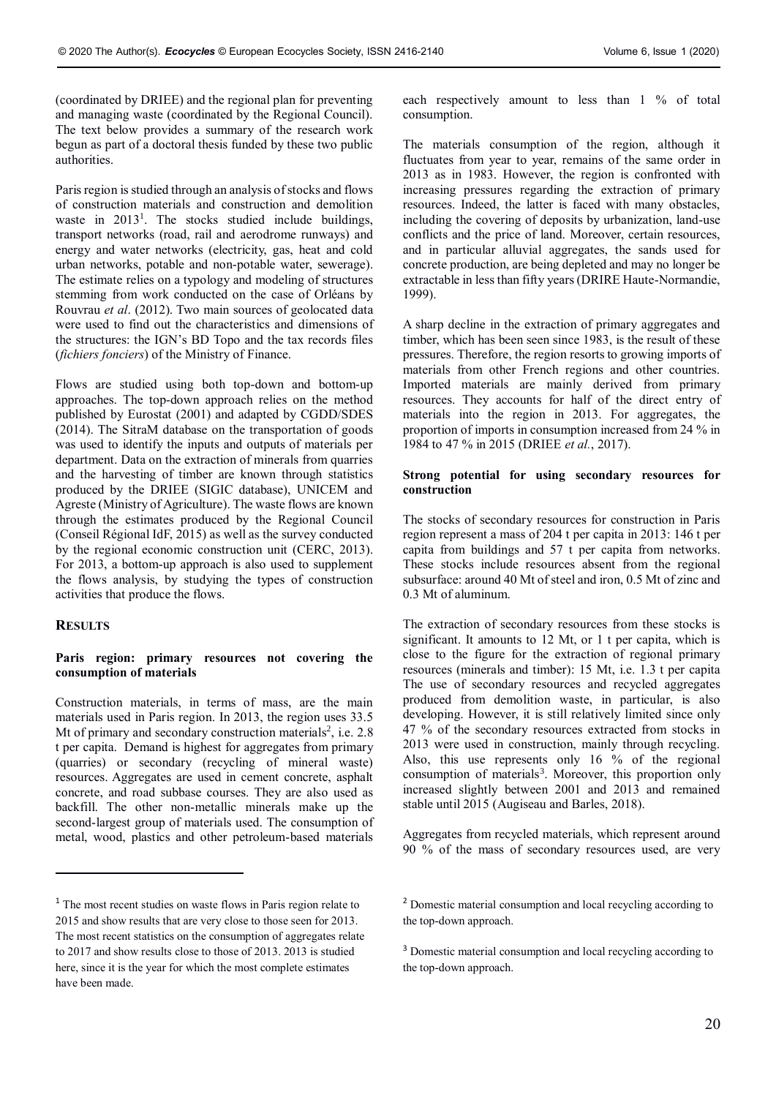(coordinated by DRIEE) and the regional plan for preventing and managing waste (coordinated by the Regional Council). The text below provides a summary of the research work begun as part of a doctoral thesis funded by these two public authorities.

Paris region is studied through an analysis of stocks and flows of construction materials and construction and demolition waste in 2013 1 . The stocks studied include buildings, transport networks (road, rail and aerodrome runways) and energy and water networks (electricity, gas, heat and cold urban networks, potable and non-potable water, sewerage). The estimate relies on a typology and modeling of structures stemming from work conducted on the case of Orléans by Rouvrau *et al*. (2012). Two main sources of geolocated data were used to find out the characteristics and dimensions of the structures: the IGN's BD Topo and the tax records files (*fichiers fonciers*) of the Ministry of Finance.

Flows are studied using both top-down and bottom-up approaches. The top-down approach relies on the method published by Eurostat (2001) and adapted by CGDD/SDES (2014). The SitraM database on the transportation of goods was used to identify the inputs and outputs of materials per department. Data on the extraction of minerals from quarries and the harvesting of timber are known through statistics produced by the DRIEE (SIGIC database), UNICEM and Agreste (Ministry of Agriculture). The waste flows are known through the estimates produced by the Regional Council (Conseil Régional IdF, 2015) as well as the survey conducted by the regional economic construction unit (CERC, 2013). For 2013, a bottom-up approach is also used to supplement the flows analysis, by studying the types of construction activities that produce the flows.

## **RESULTS**

 $\overline{a}$ 

#### **Paris region: primary resources not covering the consumption of materials**

Construction materials, in terms of mass, are the main materials used in Paris region. In 2013, the region uses 33.5 Mt of primary and secondary construction materials<sup>2</sup>, i.e. 2.8 t per capita. Demand is highest for aggregates from primary (quarries) or secondary (recycling of mineral waste) resources. Aggregates are used in cement concrete, asphalt concrete, and road subbase courses. They are also used as backfill. The other non-metallic minerals make up the second-largest group of materials used. The consumption of metal, wood, plastics and other petroleum-based materials each respectively amount to less than 1 % of total consumption.

The materials consumption of the region, although it fluctuates from year to year, remains of the same order in 2013 as in 1983. However, the region is confronted with increasing pressures regarding the extraction of primary resources. Indeed, the latter is faced with many obstacles, including the covering of deposits by urbanization, land-use conflicts and the price of land. Moreover, certain resources, and in particular alluvial aggregates, the sands used for concrete production, are being depleted and may no longer be extractable in less than fifty years (DRIRE Haute-Normandie, 1999).

A sharp decline in the extraction of primary aggregates and timber, which has been seen since 1983, is the result of these pressures. Therefore, the region resorts to growing imports of materials from other French regions and other countries. Imported materials are mainly derived from primary resources. They accounts for half of the direct entry of materials into the region in 2013. For aggregates, the proportion of imports in consumption increased from 24 % in 1984 to 47 % in 2015 (DRIEE *et al.*, 2017).

#### **Strong potential for using secondary resources for construction**

The stocks of secondary resources for construction in Paris region represent a mass of 204 t per capita in 2013: 146 t per capita from buildings and 57 t per capita from networks. These stocks include resources absent from the regional subsurface: around 40 Mt of steel and iron, 0.5 Mt of zinc and 0.3 Mt of aluminum.

The extraction of secondary resources from these stocks is significant. It amounts to 12 Mt, or 1 t per capita, which is close to the figure for the extraction of regional primary resources (minerals and timber): 15 Mt, i.e. 1.3 t per capita The use of secondary resources and recycled aggregates produced from demolition waste, in particular, is also developing. However, it is still relatively limited since only 47 % of the secondary resources extracted from stocks in 2013 were used in construction, mainly through recycling. Also, this use represents only 16 % of the regional consumption of materials<sup>3</sup>. Moreover, this proportion only increased slightly between 2001 and 2013 and remained stable until 2015 (Augiseau and Barles, 2018).

Aggregates from recycled materials, which represent around 90 % of the mass of secondary resources used, are very

<sup>1</sup> The most recent studies on waste flows in Paris region relate to 2015 and show results that are very close to those seen for 2013. The most recent statistics on the consumption of aggregates relate to 2017 and show results close to those of 2013. 2013 is studied here, since it is the year for which the most complete estimates have been made.

<sup>2</sup> Domestic material consumption and local recycling according to the top-down approach.

<sup>&</sup>lt;sup>3</sup> Domestic material consumption and local recycling according to the top-down approach.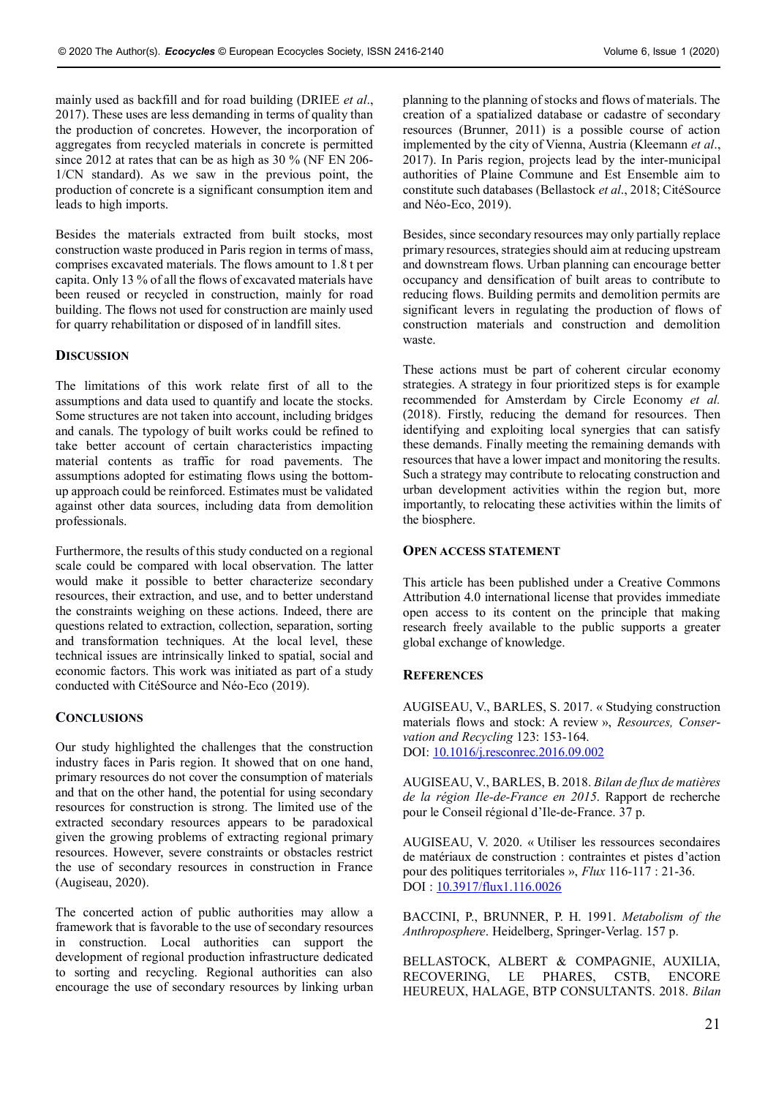mainly used as backfill and for road building (DRIEE *et al*., 2017). These uses are less demanding in terms of quality than the production of concretes. However, the incorporation of aggregates from recycled materials in concrete is permitted since 2012 at rates that can be as high as 30 % (NF EN 206- 1/CN standard). As we saw in the previous point, the production of concrete is a significant consumption item and leads to high imports.

Besides the materials extracted from built stocks, most construction waste produced in Paris region in terms of mass, comprises excavated materials. The flows amount to 1.8 t per capita. Only 13 % of all the flows of excavated materials have been reused or recycled in construction, mainly for road building. The flows not used for construction are mainly used for quarry rehabilitation or disposed of in landfill sites.

## **DISCUSSION**

The limitations of this work relate first of all to the assumptions and data used to quantify and locate the stocks. Some structures are not taken into account, including bridges and canals. The typology of built works could be refined to take better account of certain characteristics impacting material contents as traffic for road pavements. The assumptions adopted for estimating flows using the bottomup approach could be reinforced. Estimates must be validated against other data sources, including data from demolition professionals.

Furthermore, the results of this study conducted on a regional scale could be compared with local observation. The latter would make it possible to better characterize secondary resources, their extraction, and use, and to better understand the constraints weighing on these actions. Indeed, there are questions related to extraction, collection, separation, sorting and transformation techniques. At the local level, these technical issues are intrinsically linked to spatial, social and economic factors. This work was initiated as part of a study conducted with CitéSource and Néo-Eco (2019).

## **CONCLUSIONS**

Our study highlighted the challenges that the construction industry faces in Paris region. It showed that on one hand, primary resources do not cover the consumption of materials and that on the other hand, the potential for using secondary resources for construction is strong. The limited use of the extracted secondary resources appears to be paradoxical given the growing problems of extracting regional primary resources. However, severe constraints or obstacles restrict the use of secondary resources in construction in France (Augiseau, 2020).

The concerted action of public authorities may allow a framework that is favorable to the use of secondary resources in construction. Local authorities can support the development of regional production infrastructure dedicated to sorting and recycling. Regional authorities can also encourage the use of secondary resources by linking urban

planning to the planning of stocks and flows of materials. The creation of a spatialized database or cadastre of secondary resources (Brunner, 2011) is a possible course of action implemented by the city of Vienna, Austria (Kleemann *et al*., 2017). In Paris region, projects lead by the inter-municipal authorities of Plaine Commune and Est Ensemble aim to constitute such databases (Bellastock *et al*., 2018; CitéSource and Néo-Eco, 2019).

Besides, since secondary resources may only partially replace primary resources, strategies should aim at reducing upstream and downstream flows. Urban planning can encourage better occupancy and densification of built areas to contribute to reducing flows. Building permits and demolition permits are significant levers in regulating the production of flows of construction materials and construction and demolition waste.

These actions must be part of coherent circular economy strategies. A strategy in four prioritized steps is for example recommended for Amsterdam by Circle Economy *et al.* (2018). Firstly, reducing the demand for resources. Then identifying and exploiting local synergies that can satisfy these demands. Finally meeting the remaining demands with resources that have a lower impact and monitoring the results. Such a strategy may contribute to relocating construction and urban development activities within the region but, more importantly, to relocating these activities within the limits of the biosphere.

#### **OPEN ACCESS STATEMENT**

This article has been published under a Creative Commons Attribution 4.0 international license that provides immediate open access to its content on the principle that making research freely available to the public supports a greater global exchange of knowledge.

## **REFERENCES**

AUGISEAU, V., BARLES, S. 2017. « Studying construction materials flows and stock: A review », *Resources, Conservation and Recycling* 123: 153-164. DOI: [10.1016/j.resconrec.2016.09.002](https://doi.org/10.1016/j.resconrec.2016.09.002)

AUGISEAU, V., BARLES, B. 2018. *Bilan de flux de matières de la région Ile-de-France en 2015*. Rapport de recherche pour le Conseil régional d'Ile-de-France. 37 p.

AUGISEAU, V. 2020. « Utiliser les ressources secondaires de matériaux de construction : contraintes et pistes d'action pour des politiques territoriales », *Flux* 116-117 : 21-36. DOI [: 10.3917/flux1.116.0026](https://doi.org/10.3917/flux1.116.0026)

BACCINI, P., BRUNNER, P. H. 1991. *Metabolism of the Anthroposphere*. Heidelberg, Springer-Verlag. 157 p.

BELLASTOCK, ALBERT & COMPAGNIE, AUXILIA, RECOVERING, LE PHARES, CSTB, ENCORE HEUREUX, HALAGE, BTP CONSULTANTS. 2018. *Bilan*